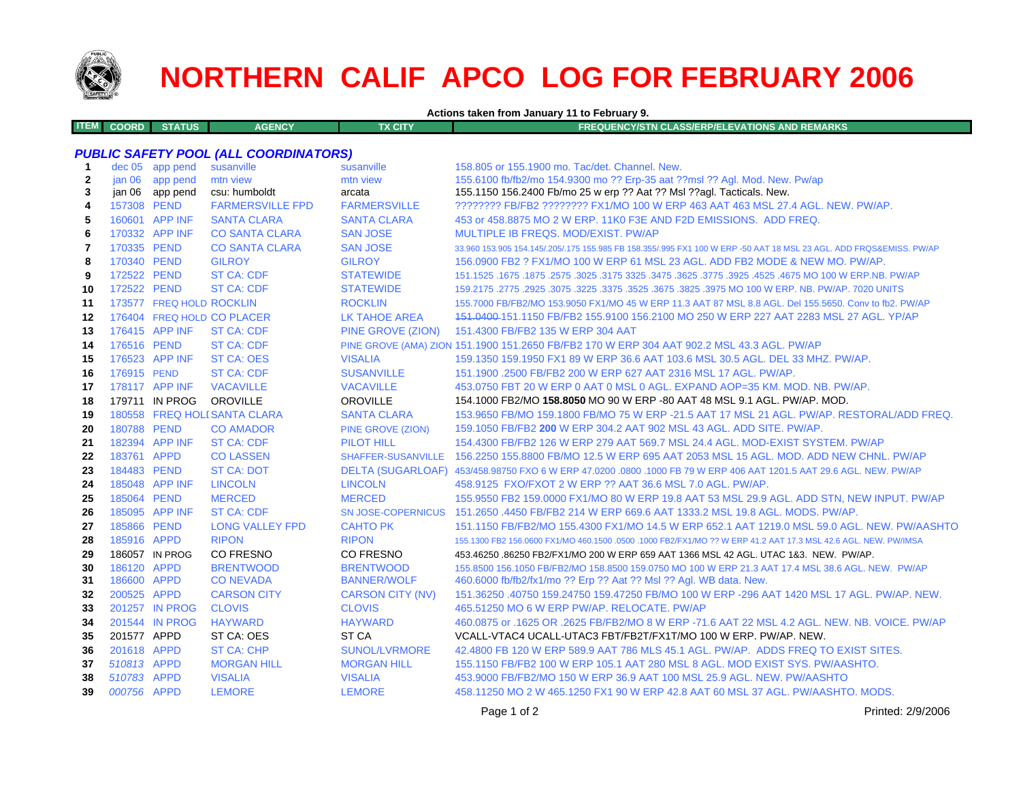

# **NORTHERN CALIF APCO LOG FOR FEBRUARY 2006**

**Actions taken from January 11 to February 9.**

| <b>ITEM COORD</b><br><b>STATUS</b> | <b>AGENCY</b> | TX CITY | <b>FREQUENCY/STN CLASS/ERP/ELEVATIONS AND REMARKS.</b> |
|------------------------------------|---------------|---------|--------------------------------------------------------|
|                                    |               |         |                                                        |

## *PUBLIC SAFETY POOL (ALL COORDINATORS)*

| -1           |             | dec 05 app pend          | susanville                   | susanville                | 158.805 or 155.1900 mo. Tac/det. Channel. New.                                                                      |
|--------------|-------------|--------------------------|------------------------------|---------------------------|---------------------------------------------------------------------------------------------------------------------|
| $\mathbf{2}$ |             | jan 06 app pend          | mtn view                     | mtn view                  | 155.6100 fb/fb2/mo 154.9300 mo ?? Erp-35 aat ??msl ?? Agl. Mod. New. Pw/ap                                          |
| 3            | jan 06      | app pend                 | csu: humboldt                | arcata                    | 155.1150 156.2400 Fb/mo 25 w erp ?? Aat ?? Msl ??agl. Tacticals. New.                                               |
| 4            | 157308 PEND |                          | <b>FARMERSVILLE FPD</b>      | <b>FARMERSVILLE</b>       | ???????? FB/FB2 ??????? FX1/MO 100 W ERP 463 AAT 463 MSL 27.4 AGL. NEW. PW/AP.                                      |
| 5            |             | 160601 APP INF           | <b>SANTA CLARA</b>           | <b>SANTA CLARA</b>        | 453 or 458.8875 MO 2 W ERP. 11K0 F3E AND F2D EMISSIONS. ADD FREQ.                                                   |
| 6            |             | 170332 APP INF           | <b>CO SANTA CLARA</b>        | <b>SAN JOSE</b>           | <b>MULTIPLE IB FREQS, MOD/EXIST, PW/AP</b>                                                                          |
| 7            | 170335 PEND |                          | <b>CO SANTA CLARA</b>        | <b>SAN JOSE</b>           | 33,960 153,905 154,145/,205/,175 155,985 FB 158,355/,995 FX1 100 W ERP -50 AAT 18 MSL 23 AGL, ADD FRQS&EMISS, PW/AP |
| 8            | 170340 PEND |                          | <b>GILROY</b>                | <b>GILROY</b>             | 156.0900 FB2 ? FX1/MO 100 W ERP 61 MSL 23 AGL. ADD FB2 MODE & NEW MO. PW/AP.                                        |
| 9            | 172522 PEND |                          | <b>ST CA: CDF</b>            | <b>STATEWIDE</b>          | 151.1525 .1675 .1875 .3025 .3175 .3625 .3625 .3775 .3625 .3775 .3625 .3775 .3925 .1675 .1675 .1675 .                |
| 10           | 172522 PEND |                          | <b>ST CA: CDF</b>            | <b>STATEWIDE</b>          | 159.2175 .2775 .2925 .3075 .3225 .3525 .3625 .3675 .3825 .3975 MO 100 W ERP. NB. PW/AP. 7020 UNITS                  |
| 11           |             | 173577 FREQ HOLD ROCKLIN |                              | <b>ROCKLIN</b>            | 155,7000 FB/FB2/MO 153,9050 FX1/MO 45 W ERP 11.3 AAT 87 MSL 8.8 AGL, Del 155,5650, Conv to fb2, PW/AP               |
| 12           |             |                          | 176404 FREQ HOLD CO PLACER   | <b>LK TAHOE AREA</b>      | 151.0400-151.1150 FB/FB2 155.9100 156.2100 MO 250 W ERP 227 AAT 2283 MSL 27 AGL, YP/AP                              |
| 13           |             | 176415 APP INF           | <b>ST CA: CDF</b>            | PINE GROVE (ZION)         | 151.4300 FB/FB2 135 W ERP 304 AAT                                                                                   |
| 14           | 176516 PEND |                          | ST CA: CDF                   |                           | PINE GROVE (AMA) ZION 151.1900 151.2650 FB/FB2 170 W ERP 304 AAT 902.2 MSL 43.3 AGL. PW/AP                          |
| 15           |             | 176523 APP INF           | ST CA: OES                   | <b>VISALIA</b>            | 159.1350 159.1950 FX1 89 W ERP 36.6 AAT 103.6 MSL 30.5 AGL. DEL 33 MHZ. PW/AP.                                      |
| 16           | 176915 PEND |                          | <b>ST CA: CDF</b>            | <b>SUSANVILLE</b>         | 151.1900 .2500 FB/FB2 200 W ERP 627 AAT 2316 MSL 17 AGL, PW/AP.                                                     |
| 17           |             | 178117 APP INF           | <b>VACAVILLE</b>             | <b>VACAVILLE</b>          | 453.0750 FBT 20 W ERP 0 AAT 0 MSL 0 AGL, EXPAND AOP=35 KM, MOD, NB, PW/AP,                                          |
| 18           |             | 179711 IN PROG           | OROVILLE                     | <b>OROVILLE</b>           | 154.1000 FB2/MO 158.8050 MO 90 W ERP -80 AAT 48 MSL 9.1 AGL, PW/AP, MOD.                                            |
| 19           |             |                          | 180558 FREQ HOLI SANTA CLARA | <b>SANTA CLARA</b>        | 153.9650 FB/MO 159.1800 FB/MO 75 W ERP -21.5 AAT 17 MSL 21 AGL, PW/AP, RESTORAL/ADD FREQ.                           |
| 20           | 180788 PEND |                          | <b>CO AMADOR</b>             | <b>PINE GROVE (ZION)</b>  | 159.1050 FB/FB2 200 W ERP 304.2 AAT 902 MSL 43 AGL. ADD SITE. PW/AP.                                                |
| 21           |             | 182394 APP INF           | <b>ST CA: CDF</b>            | <b>PILOT HILL</b>         | 154.4300 FB/FB2 126 W ERP 279 AAT 569.7 MSL 24.4 AGL, MOD-EXIST SYSTEM, PW/AP                                       |
| 22           | 183761 APPD |                          | <b>CO LASSEN</b>             | <b>SHAFFER-SUSANVILLE</b> | 156.2250 155.8800 FB/MO 12.5 W ERP 695 AAT 2053 MSL 15 AGL. MOD. ADD NEW CHNL. PW/AP                                |
| 23           | 184483 PEND |                          | <b>ST CA: DOT</b>            |                           | DELTA (SUGARLOAF) 453/458.98750 FXO 6 W ERP 47.0200 .0800 .1000 FB 79 W ERP 406 AAT 1201.5 AAT 29.6 AGL. NEW, PW/AP |
| 24           |             | 185048 APP INF           | <b>LINCOLN</b>               | <b>LINCOLN</b>            | 458.9125 FXO/FXOT 2 W ERP ?? AAT 36.6 MSL 7.0 AGL, PW/AP.                                                           |
| 25           | 185064 PEND |                          | <b>MERCED</b>                | <b>MERCED</b>             | 155,9550 FB2 159,0000 FX1/MO 80 W ERP 19.8 AAT 53 MSL 29.9 AGL. ADD STN. NEW INPUT, PW/AP                           |
| 26           |             | 185095 APP INF           | <b>ST CA: CDF</b>            | <b>SN JOSE-COPERNICUS</b> | 151.2650 .4450 FB/FB2 214 W ERP 669.6 AAT 1333.2 MSL 19.8 AGL. MODS. PW/AP.                                         |
| 27           | 185866 PEND |                          | <b>LONG VALLEY FPD</b>       | <b>CAHTO PK</b>           | 151.1150 FB/FB2/MO 155.4300 FX1/MO 14.5 W ERP 652.1 AAT 1219.0 MSL 59.0 AGL. NEW. PW/AASHTO                         |
| 28           | 185916 APPD |                          | <b>RIPON</b>                 | <b>RIPON</b>              | 155.1300 FB2 156.0600 FX1/MO 460.1500 .0500 .1000 FB2/FX1/MO ?? W ERP 41.2 AAT 17.3 MSL 42.6 AGL. NEW. PW/IMSA      |
| 29           |             | 186057 IN PROG           | <b>CO FRESNO</b>             | CO FRESNO                 | 453.46250 .86250 FB2/FX1/MO 200 W ERP 659 AAT 1366 MSL 42 AGL. UTAC 1&3. NEW. PW/AP.                                |
| 30           | 186120 APPD |                          | <b>BRENTWOOD</b>             | <b>BRENTWOOD</b>          | 155.8500 156.1050 FB/FB2/MO 158.8500 159.0750 MO 100 W ERP 21.3 AAT 17.4 MSL 38.6 AGL. NEW. PW/AP                   |
| 31           | 186600 APPD |                          | <b>CONEVADA</b>              | <b>BANNER/WOLF</b>        | 460.6000 fb/fb2/fx1/mo ?? Erp ?? Aat ?? Msl ?? Agl. WB data. New.                                                   |
| 32           | 200525 APPD |                          | <b>CARSON CITY</b>           | <b>CARSON CITY (NV)</b>   | 151.36250 .40750 159.24750 159.47250 FB/MO 100 W ERP -296 AAT 1420 MSL 17 AGL, PW/AP, NEW.                          |
| 33           |             | 201257 IN PROG           | <b>CLOVIS</b>                | <b>CLOVIS</b>             | 465.51250 MO 6 W ERP PW/AP, RELOCATE, PW/AP                                                                         |
| 34           |             | 201544 IN PROG           | <b>HAYWARD</b>               | <b>HAYWARD</b>            | 460,0875 or .1625 OR .2625 FB/FB2/MO 8 W ERP -71.6 AAT 22 MSL 4.2 AGL, NEW, NB, VOICE, PW/AP                        |
| 35           | 201577 APPD |                          | ST CA: OES                   | ST CA                     | VCALL-VTAC4 UCALL-UTAC3 FBT/FB2T/FX1T/MO 100 W ERP. PW/AP. NEW.                                                     |
| 36           | 201618 APPD |                          | <b>ST CA: CHP</b>            | <b>SUNOL/LVRMORE</b>      | 42.4800 FB 120 W ERP 589.9 AAT 786 MLS 45.1 AGL, PW/AP, ADDS FREQ TO EXIST SITES.                                   |
| 37           | 510813 APPD |                          | <b>MORGAN HILL</b>           | <b>MORGAN HILL</b>        | 155.1150 FB/FB2 100 W ERP 105.1 AAT 280 MSL 8 AGL. MOD EXIST SYS. PW/AASHTO.                                        |
| 38           | 510783 APPD |                          | <b>VISALIA</b>               | <b>VISALIA</b>            | 453,9000 FB/FB2/MO 150 W ERP 36.9 AAT 100 MSL 25.9 AGL, NEW, PW/AASHTO                                              |
| 39           | 000756 APPD |                          | <b>LEMORE</b>                | <b>LEMORE</b>             | 458.11250 MO 2 W 465.1250 FX1 90 W ERP 42.8 AAT 60 MSL 37 AGL. PW/AASHTO. MODS.                                     |